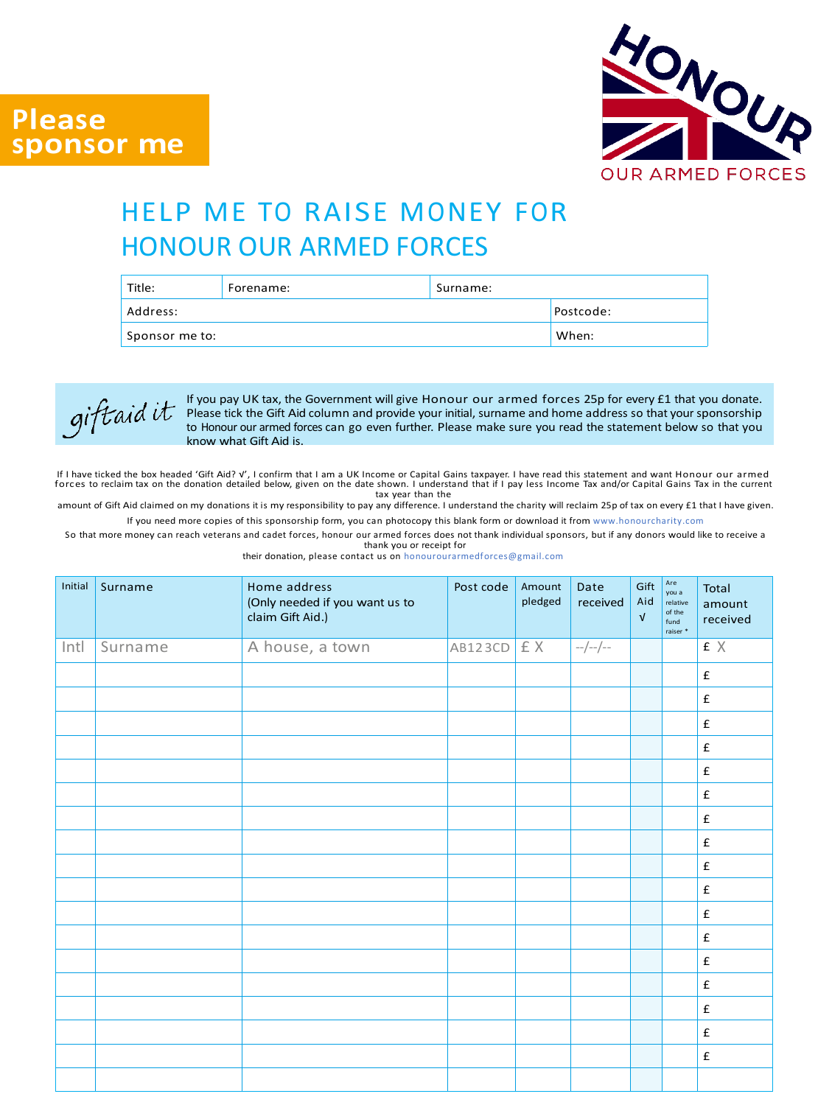

## HELP ME TO RAISE MONEY FOR HONOUR OUR ARMED FORCES

| Title:         | Forename: | Surname: |           |  |  |
|----------------|-----------|----------|-----------|--|--|
| Address:       |           |          | Postcode: |  |  |
| Sponsor me to: |           |          | When:     |  |  |



If you pay UK tax, the Government will give Honour our armed forces 25p for every £1 that you donate. Please tick the Gift Aid column and provide your initial, surname and home address so that your sponsorship to Honour our armed forces can go even further. Please make sure you read the statement below so that you know what Gift Aid is.

If I have ticked the box headed 'Gift Aid? V', I confirm that I am a UK Income or Capital Gains taxpayer. I have read this statement and want Honour our armed<br>forces to reclaim tax on the donation detailed below, given on tax year than the

amount of Gift Aid claimed on my donations it is my responsibility to pay any difference. I understand the charity will reclaim 25p of tax on every £1 that I have given. If you need more copies of this sponsorship form, you can photocopy this blank form or download it from www.honourcharity.com

So that more money can reach veterans and cadet forces, honour our armed forces does not thank individual sponsors, but if any donors would like to receive a thank you or receipt for

their donation, please contact us on honourourarmedforces@gmail.com

| Initial | Surname | Home address<br>(Only needed if you want us to<br>claim Gift Aid.) | Post code       | Amount<br>pledged | Date<br>received | Gift<br>Aid<br>$\sqrt{ }$ | Are<br>you a<br>relative<br>of the<br>fund<br>raiser * | Total<br>amount<br>received      |
|---------|---------|--------------------------------------------------------------------|-----------------|-------------------|------------------|---------------------------|--------------------------------------------------------|----------------------------------|
| Intl    | Surname | A house, a town                                                    | $AB123CD$ $E$ X |                   | $--/--/--$       |                           |                                                        | $\pmb{\mathsf{f}}\ \,\mathsf{X}$ |
|         |         |                                                                    |                 |                   |                  |                           |                                                        | $\pmb{\mathsf{f}}$               |
|         |         |                                                                    |                 |                   |                  |                           |                                                        | $\pmb{\mathsf{f}}$               |
|         |         |                                                                    |                 |                   |                  |                           |                                                        | $\pmb{\mathsf{f}}$               |
|         |         |                                                                    |                 |                   |                  |                           |                                                        | $\pmb{\mathsf{f}}$               |
|         |         |                                                                    |                 |                   |                  |                           |                                                        | $\pmb{\mathsf{f}}$               |
|         |         |                                                                    |                 |                   |                  |                           |                                                        | $\pmb{\mathsf{f}}$               |
|         |         |                                                                    |                 |                   |                  |                           |                                                        | £                                |
|         |         |                                                                    |                 |                   |                  |                           |                                                        | $\pmb{\mathsf{f}}$               |
|         |         |                                                                    |                 |                   |                  |                           |                                                        | £                                |
|         |         |                                                                    |                 |                   |                  |                           |                                                        | $\pmb{\mathsf{f}}$               |
|         |         |                                                                    |                 |                   |                  |                           |                                                        | £                                |
|         |         |                                                                    |                 |                   |                  |                           |                                                        | $\pmb{\mathsf{f}}$               |
|         |         |                                                                    |                 |                   |                  |                           |                                                        | £                                |
|         |         |                                                                    |                 |                   |                  |                           |                                                        | £                                |
|         |         |                                                                    |                 |                   |                  |                           |                                                        | $\pmb{\mathsf{f}}$               |
|         |         |                                                                    |                 |                   |                  |                           |                                                        | $\pmb{\mathsf{f}}$               |
|         |         |                                                                    |                 |                   |                  |                           |                                                        | £                                |
|         |         |                                                                    |                 |                   |                  |                           |                                                        |                                  |